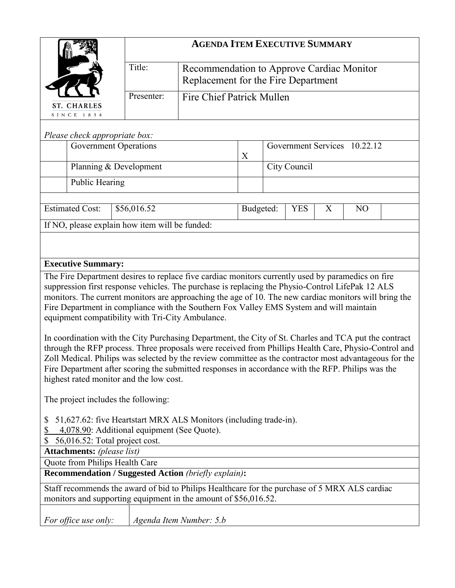|                                   |                                                                                                                                                                                                                                                                                                                                                                                                                                                                         | <b>AGENDA ITEM EXECUTIVE SUMMARY</b>                                             |                                  |  |              |   |                              |  |  |
|-----------------------------------|-------------------------------------------------------------------------------------------------------------------------------------------------------------------------------------------------------------------------------------------------------------------------------------------------------------------------------------------------------------------------------------------------------------------------------------------------------------------------|----------------------------------------------------------------------------------|----------------------------------|--|--------------|---|------------------------------|--|--|
|                                   |                                                                                                                                                                                                                                                                                                                                                                                                                                                                         | Recommendation to Approve Cardiac Monitor<br>Replacement for the Fire Department |                                  |  |              |   |                              |  |  |
| <b>ST. CHARLES</b>                | Presenter:                                                                                                                                                                                                                                                                                                                                                                                                                                                              |                                                                                  | <b>Fire Chief Patrick Mullen</b> |  |              |   |                              |  |  |
| SINCE 1834                        |                                                                                                                                                                                                                                                                                                                                                                                                                                                                         |                                                                                  |                                  |  |              |   |                              |  |  |
| Please check appropriate box:     |                                                                                                                                                                                                                                                                                                                                                                                                                                                                         |                                                                                  |                                  |  |              |   |                              |  |  |
|                                   | <b>Government Operations</b>                                                                                                                                                                                                                                                                                                                                                                                                                                            |                                                                                  | X                                |  |              |   | Government Services 10.22.12 |  |  |
|                                   | Planning & Development                                                                                                                                                                                                                                                                                                                                                                                                                                                  |                                                                                  |                                  |  | City Council |   |                              |  |  |
| <b>Public Hearing</b>             |                                                                                                                                                                                                                                                                                                                                                                                                                                                                         |                                                                                  |                                  |  |              |   |                              |  |  |
|                                   |                                                                                                                                                                                                                                                                                                                                                                                                                                                                         |                                                                                  |                                  |  |              |   |                              |  |  |
| <b>Estimated Cost:</b>            | \$56,016.52                                                                                                                                                                                                                                                                                                                                                                                                                                                             |                                                                                  | Budgeted:                        |  | <b>YES</b>   | X | N <sub>O</sub>               |  |  |
|                                   | If NO, please explain how item will be funded:                                                                                                                                                                                                                                                                                                                                                                                                                          |                                                                                  |                                  |  |              |   |                              |  |  |
|                                   |                                                                                                                                                                                                                                                                                                                                                                                                                                                                         |                                                                                  |                                  |  |              |   |                              |  |  |
| <b>Executive Summary:</b>         |                                                                                                                                                                                                                                                                                                                                                                                                                                                                         |                                                                                  |                                  |  |              |   |                              |  |  |
|                                   | The Fire Department desires to replace five cardiac monitors currently used by paramedics on fire<br>suppression first response vehicles. The purchase is replacing the Physio-Control LifePak 12 ALS<br>monitors. The current monitors are approaching the age of 10. The new cardiac monitors will bring the<br>Fire Department in compliance with the Southern Fox Valley EMS System and will maintain<br>equipment compatibility with Tri-City Ambulance.           |                                                                                  |                                  |  |              |   |                              |  |  |
|                                   | In coordination with the City Purchasing Department, the City of St. Charles and TCA put the contract<br>through the RFP process. Three proposals were received from Phillips Health Care, Physio-Control and<br>Zoll Medical. Philips was selected by the review committee as the contractor most advantageous for the<br>Fire Department after scoring the submitted responses in accordance with the RFP. Philips was the<br>highest rated monitor and the low cost. |                                                                                  |                                  |  |              |   |                              |  |  |
|                                   | The project includes the following:                                                                                                                                                                                                                                                                                                                                                                                                                                     |                                                                                  |                                  |  |              |   |                              |  |  |
| \$<br>\$<br>\$                    | 51,627.62: five Heartstart MRX ALS Monitors (including trade-in).<br>4,078.90: Additional equipment (See Quote).<br>56,016.52: Total project cost.                                                                                                                                                                                                                                                                                                                      |                                                                                  |                                  |  |              |   |                              |  |  |
| <b>Attachments:</b> (please list) |                                                                                                                                                                                                                                                                                                                                                                                                                                                                         |                                                                                  |                                  |  |              |   |                              |  |  |
| Quote from Philips Health Care    | <b>Recommendation / Suggested Action (briefly explain):</b>                                                                                                                                                                                                                                                                                                                                                                                                             |                                                                                  |                                  |  |              |   |                              |  |  |
|                                   | Staff recommends the award of bid to Philips Healthcare for the purchase of 5 MRX ALS cardiac                                                                                                                                                                                                                                                                                                                                                                           |                                                                                  |                                  |  |              |   |                              |  |  |
|                                   | monitors and supporting equipment in the amount of \$56,016.52.                                                                                                                                                                                                                                                                                                                                                                                                         |                                                                                  |                                  |  |              |   |                              |  |  |
| For office use only:              |                                                                                                                                                                                                                                                                                                                                                                                                                                                                         | Agenda Item Number: 5.b                                                          |                                  |  |              |   |                              |  |  |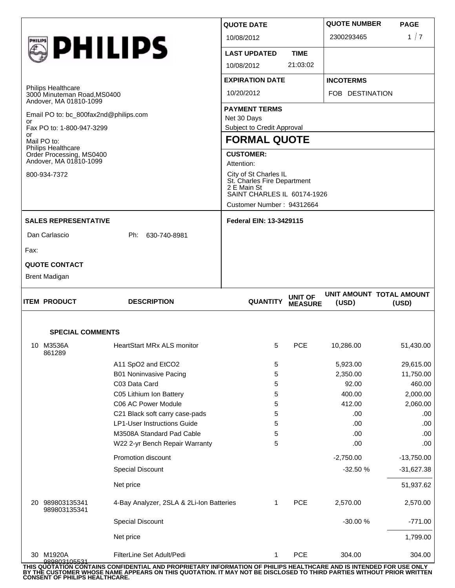| <b>SPECIAL COMMENTS</b>                                               |                    |                                                      |                                  |                     |                                   |  |  |
|-----------------------------------------------------------------------|--------------------|------------------------------------------------------|----------------------------------|---------------------|-----------------------------------|--|--|
| <b>ITEM PRODUCT</b>                                                   | <b>DESCRIPTION</b> | <b>QUANTITY</b>                                      | <b>UNIT OF</b><br><b>MEASURE</b> | (USD)               | UNIT AMOUNT TOTAL AMOUNT<br>(USD) |  |  |
| <b>Brent Madigan</b>                                                  |                    |                                                      |                                  |                     |                                   |  |  |
| <b>QUOTE CONTACT</b>                                                  |                    |                                                      |                                  |                     |                                   |  |  |
| Fax:                                                                  |                    |                                                      |                                  |                     |                                   |  |  |
| Dan Carlascio                                                         | Ph: 630-740-8981   |                                                      |                                  |                     |                                   |  |  |
| <b>SALES REPRESENTATIVE</b>                                           |                    | <b>Federal EIN: 13-3429115</b>                       |                                  |                     |                                   |  |  |
|                                                                       |                    | Customer Number: 94312664                            |                                  |                     |                                   |  |  |
|                                                                       |                    | 2 E Main St<br>SAINT CHARLES IL 60174-1926           |                                  |                     |                                   |  |  |
| 800-934-7372                                                          |                    | City of St Charles IL<br>St. Charles Fire Department |                                  |                     |                                   |  |  |
| Order Processing, MS0400<br>Andover, MA 01810-1099                    |                    | <b>CUSTOMER:</b><br>Attention:                       |                                  |                     |                                   |  |  |
| Mail PO to:<br>Philips Healthcare                                     |                    | <b>FORMAL QUOTE</b>                                  |                                  |                     |                                   |  |  |
| Fax PO to: 1-800-947-3299<br>or                                       |                    | Subject to Credit Approval                           |                                  |                     |                                   |  |  |
| Andover, MA 01810-1099<br>Email PO to: bc_800fax2nd@philips.com<br>or |                    | Net 30 Days                                          |                                  |                     |                                   |  |  |
|                                                                       |                    | <b>PAYMENT TERMS</b>                                 |                                  |                     |                                   |  |  |
| <b>Philips Healthcare</b><br>3000 Minuteman Road, MS0400              | 10/20/2012         |                                                      | FOB DESTINATION                  |                     |                                   |  |  |
|                                                                       |                    | <b>EXPIRATION DATE</b>                               |                                  | <b>INCOTERMS</b>    |                                   |  |  |
| <b>SPHILIPS</b>                                                       |                    | <b>LAST UPDATED</b><br>10/08/2012                    | <b>TIME</b><br>21:03:02          |                     |                                   |  |  |
|                                                                       |                    | 10/08/2012                                           |                                  | 2300293465          | 1/7                               |  |  |
|                                                                       |                    | <b>QUOTE DATE</b>                                    |                                  | <b>QUOTE NUMBER</b> | <b>PAGE</b>                       |  |  |

| 10 | M3536A<br>861289             | <b>HeartStart MRx ALS monitor</b>        | 5 | <b>PCE</b> | 10,286.00   | 51,430.00    |
|----|------------------------------|------------------------------------------|---|------------|-------------|--------------|
|    |                              | A11 SpO2 and EtCO2                       | 5 |            | 5,923.00    | 29,615.00    |
|    |                              | <b>B01 Noninvasive Pacing</b>            | 5 |            | 2,350.00    | 11,750.00    |
|    |                              | C03 Data Card                            | 5 |            | 92.00       | 460.00       |
|    |                              | C05 Lithium Ion Battery                  | 5 |            | 400.00      | 2,000.00     |
|    |                              | C06 AC Power Module                      | 5 |            | 412.00      | 2,060.00     |
|    |                              | C21 Black soft carry case-pads           | 5 |            | .00         | .00          |
|    |                              | <b>LP1-User Instructions Guide</b>       | 5 |            | .00         | .00          |
|    |                              | M3508A Standard Pad Cable                | 5 |            | .00         | .00          |
|    |                              | W22 2-yr Bench Repair Warranty           | 5 |            | .00         | .00          |
|    |                              | Promotion discount                       |   |            | $-2,750.00$ | $-13,750.00$ |
|    |                              | <b>Special Discount</b>                  |   |            | $-32.50%$   | $-31,627.38$ |
|    |                              | Net price                                |   |            |             | 51,937.62    |
| 20 | 989803135341<br>989803135341 | 4-Bay Analyzer, 2SLA & 2Li-Ion Batteries | 1 | <b>PCE</b> | 2,570.00    | 2,570.00     |
|    |                              | <b>Special Discount</b>                  |   |            | -30.00 %    | -771.00      |
|    |                              | Net price                                |   |            |             | 1,799.00     |
| 30 | M1920A                       | FilterLine Set Adult/Pedi                |   | <b>PCE</b> | 304.00      | 304.00       |

THIS QUOTATION CONTAINS CONFIDENTIAL AND PROPRIETARY INFORMATION OF PHILIPS HEALTHCARE AND IS INTENDED FOR USE ONLY<br>BY THE CUSTOMER WHOSE NAME APPEARS ON THIS QUOTATION. IT MAY NOT BE DISCLOSED TO THIRD PARTIES WITHOUT PRI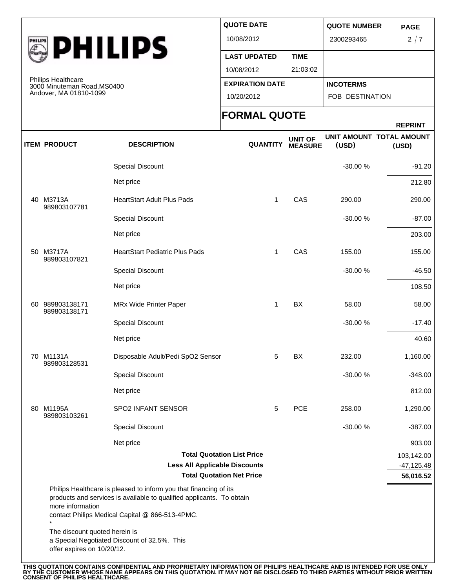

Philips Healthcare 3000 Minuteman Road,MS0400 Andover, MA 01810-1099

| <b>QUOTE DATE</b>      |             | <b>QUOTE NUMBER</b>    |             |
|------------------------|-------------|------------------------|-------------|
|                        |             |                        | <b>PAGE</b> |
| 10/08/2012             |             | 2300293465             | 2/7         |
| <b>LAST UPDATED</b>    | <b>TIME</b> |                        |             |
| 10/08/2012             | 21:03:02    |                        |             |
| <b>EXPIRATION DATE</b> |             | <b>INCOTERMS</b>       |             |
| 10/20/2012             |             | <b>FOB DESTINATION</b> |             |
|                        |             |                        |             |

## **FORMAL QUOTE**

| M100001, 1010101001000                                      |                                                                                                                                                                                               | 10/20/2012                        |                                  | FOB DESTINATION |                                   |  |
|-------------------------------------------------------------|-----------------------------------------------------------------------------------------------------------------------------------------------------------------------------------------------|-----------------------------------|----------------------------------|-----------------|-----------------------------------|--|
|                                                             |                                                                                                                                                                                               | <b>FORMAL QUOTE</b>               |                                  |                 | <b>REPRINT</b>                    |  |
| <b>ITEM PRODUCT</b>                                         | <b>DESCRIPTION</b>                                                                                                                                                                            | <b>QUANTITY</b>                   | <b>UNIT OF</b><br><b>MEASURE</b> | (USD)           | UNIT AMOUNT TOTAL AMOUNT<br>(USD) |  |
|                                                             | Special Discount                                                                                                                                                                              |                                   |                                  | -30.00 %        | $-91.20$                          |  |
|                                                             | Net price                                                                                                                                                                                     |                                   |                                  |                 | 212.80                            |  |
| 40 M3713A<br>989803107781                                   | <b>HeartStart Adult Plus Pads</b>                                                                                                                                                             | 1                                 | CAS                              | 290.00          | 290.00                            |  |
|                                                             | <b>Special Discount</b>                                                                                                                                                                       |                                   |                                  | $-30.00%$       | $-87.00$                          |  |
|                                                             | Net price                                                                                                                                                                                     |                                   |                                  |                 | 203.00                            |  |
| 50 M3717A<br>989803107821                                   | <b>HeartStart Pediatric Plus Pads</b>                                                                                                                                                         | 1                                 | CAS                              | 155.00          | 155.00                            |  |
|                                                             | <b>Special Discount</b>                                                                                                                                                                       |                                   |                                  | -30.00 %        | $-46.50$                          |  |
|                                                             | Net price                                                                                                                                                                                     |                                   |                                  |                 | 108.50                            |  |
| 60 989803138171<br>989803138171                             | MRx Wide Printer Paper                                                                                                                                                                        | 1                                 | BX                               | 58.00           | 58.00                             |  |
|                                                             | Special Discount                                                                                                                                                                              |                                   |                                  | -30.00 %        | $-17.40$                          |  |
|                                                             | Net price                                                                                                                                                                                     |                                   |                                  |                 | 40.60                             |  |
| 70 M1131A<br>989803128531                                   | Disposable Adult/Pedi SpO2 Sensor                                                                                                                                                             | 5                                 | BX                               | 232.00          | 1,160.00                          |  |
|                                                             | Special Discount                                                                                                                                                                              |                                   |                                  | -30.00 %        | $-348.00$                         |  |
|                                                             | Net price                                                                                                                                                                                     |                                   |                                  |                 | 812.00                            |  |
| 80 M1195A<br>989803103261                                   | SPO2 INFANT SENSOR                                                                                                                                                                            | 5                                 | <b>PCE</b>                       | 258.00          | 1,290.00                          |  |
|                                                             | Special Discount                                                                                                                                                                              |                                   |                                  | -30.00 %        | $-387.00$                         |  |
|                                                             | Net price                                                                                                                                                                                     |                                   |                                  |                 | 903.00                            |  |
|                                                             |                                                                                                                                                                                               | <b>Total Quotation List Price</b> |                                  |                 | 103,142.00                        |  |
|                                                             | <b>Less All Applicable Discounts</b>                                                                                                                                                          |                                   |                                  |                 | $-47,125.48$                      |  |
| more information                                            | Philips Healthcare is pleased to inform you that financing of its<br>products and services is available to qualified applicants. To obtain<br>contact Philips Medical Capital @ 866-513-4PMC. | <b>Total Quotation Net Price</b>  |                                  |                 | 56,016.52                         |  |
| The discount quoted herein is<br>offer expires on 10/20/12. | a Special Negotiated Discount of 32.5%. This                                                                                                                                                  |                                   |                                  |                 |                                   |  |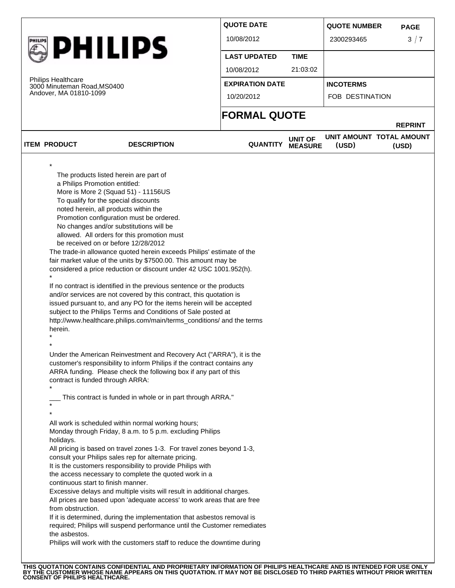|  |                                                                                       |                                                                                                                                                                                                                                                                                                                                                                                                                                                                                                                                                                                                                                                                                                                                                                                                                                                                                                                                                                   | <b>QUOTE DATE</b>      |                                  | <b>QUOTE NUMBER</b>               | <b>PAGE</b>    |
|--|---------------------------------------------------------------------------------------|-------------------------------------------------------------------------------------------------------------------------------------------------------------------------------------------------------------------------------------------------------------------------------------------------------------------------------------------------------------------------------------------------------------------------------------------------------------------------------------------------------------------------------------------------------------------------------------------------------------------------------------------------------------------------------------------------------------------------------------------------------------------------------------------------------------------------------------------------------------------------------------------------------------------------------------------------------------------|------------------------|----------------------------------|-----------------------------------|----------------|
|  |                                                                                       |                                                                                                                                                                                                                                                                                                                                                                                                                                                                                                                                                                                                                                                                                                                                                                                                                                                                                                                                                                   | 10/08/2012             |                                  | 2300293465                        | 3/7            |
|  | <b>PHILIPS</b>                                                                        |                                                                                                                                                                                                                                                                                                                                                                                                                                                                                                                                                                                                                                                                                                                                                                                                                                                                                                                                                                   | <b>LAST UPDATED</b>    | <b>TIME</b>                      |                                   |                |
|  | <b>Philips Healthcare</b><br>3000 Minuteman Road, MS0400<br>Andover, MA 01810-1099    |                                                                                                                                                                                                                                                                                                                                                                                                                                                                                                                                                                                                                                                                                                                                                                                                                                                                                                                                                                   | 10/08/2012             | 21:03:02                         |                                   |                |
|  |                                                                                       |                                                                                                                                                                                                                                                                                                                                                                                                                                                                                                                                                                                                                                                                                                                                                                                                                                                                                                                                                                   | <b>EXPIRATION DATE</b> |                                  | <b>INCOTERMS</b>                  |                |
|  |                                                                                       |                                                                                                                                                                                                                                                                                                                                                                                                                                                                                                                                                                                                                                                                                                                                                                                                                                                                                                                                                                   | 10/20/2012             |                                  | FOB DESTINATION                   |                |
|  |                                                                                       |                                                                                                                                                                                                                                                                                                                                                                                                                                                                                                                                                                                                                                                                                                                                                                                                                                                                                                                                                                   | <b>FORMAL QUOTE</b>    |                                  |                                   | <b>REPRINT</b> |
|  | <b>ITEM PRODUCT</b>                                                                   | <b>DESCRIPTION</b>                                                                                                                                                                                                                                                                                                                                                                                                                                                                                                                                                                                                                                                                                                                                                                                                                                                                                                                                                | <b>QUANTITY</b>        | <b>UNIT OF</b><br><b>MEASURE</b> | UNIT AMOUNT TOTAL AMOUNT<br>(USD) | (USD)          |
|  |                                                                                       |                                                                                                                                                                                                                                                                                                                                                                                                                                                                                                                                                                                                                                                                                                                                                                                                                                                                                                                                                                   |                        |                                  |                                   |                |
|  | be received on or before 12/28/2012<br>herein.<br>contract is funded through ARRA:    | No changes and/or substitutions will be<br>allowed. All orders for this promotion must<br>The trade-in allowance quoted herein exceeds Philips' estimate of the<br>fair market value of the units by \$7500.00. This amount may be<br>considered a price reduction or discount under 42 USC 1001.952(h).<br>If no contract is identified in the previous sentence or the products<br>and/or services are not covered by this contract, this quotation is<br>issued pursuant to, and any PO for the items herein will be accepted<br>subject to the Philips Terms and Conditions of Sale posted at<br>http://www.healthcare.philips.com/main/terms_conditions/ and the terms<br>Under the American Reinvestment and Recovery Act ("ARRA"), it is the<br>customer's responsibility to inform Philips if the contract contains any<br>ARRA funding. Please check the following box if any part of this<br>This contract is funded in whole or in part through ARRA." |                        |                                  |                                   |                |
|  | holidays.<br>continuous start to finish manner.<br>from obstruction.<br>the asbestos. | All work is scheduled within normal working hours;<br>Monday through Friday, 8 a.m. to 5 p.m. excluding Philips<br>All pricing is based on travel zones 1-3. For travel zones beyond 1-3,<br>consult your Philips sales rep for alternate pricing.<br>It is the customers responsibility to provide Philips with<br>the access necessary to complete the quoted work in a<br>Excessive delays and multiple visits will result in additional charges.<br>All prices are based upon 'adequate access' to work areas that are free<br>If it is determined, during the implementation that asbestos removal is<br>required; Philips will suspend performance until the Customer remediates<br>Philips will work with the customers staff to reduce the downtime during                                                                                                                                                                                                |                        |                                  |                                   |                |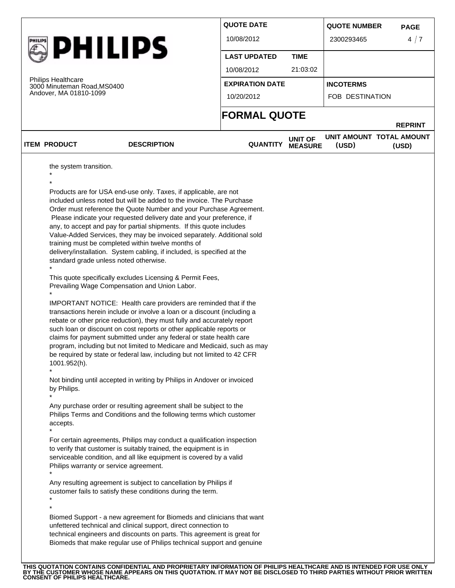|                                                                                                      |                                                                                                                                                                                                                                                                                                                                                                                                                                                                                                                                                                                                                                                                                                                                                                                                                                                                                                                                                                                                            | <b>QUOTE DATE</b>      |                | <b>QUOTE NUMBER</b>      | <b>PAGE</b>    |
|------------------------------------------------------------------------------------------------------|------------------------------------------------------------------------------------------------------------------------------------------------------------------------------------------------------------------------------------------------------------------------------------------------------------------------------------------------------------------------------------------------------------------------------------------------------------------------------------------------------------------------------------------------------------------------------------------------------------------------------------------------------------------------------------------------------------------------------------------------------------------------------------------------------------------------------------------------------------------------------------------------------------------------------------------------------------------------------------------------------------|------------------------|----------------|--------------------------|----------------|
|                                                                                                      |                                                                                                                                                                                                                                                                                                                                                                                                                                                                                                                                                                                                                                                                                                                                                                                                                                                                                                                                                                                                            | 10/08/2012             |                | 2300293465               | 4/7            |
| <b>PHILIPS</b><br><b>Philips Healthcare</b><br>3000 Minuteman Road, MS0400<br>Andover, MA 01810-1099 |                                                                                                                                                                                                                                                                                                                                                                                                                                                                                                                                                                                                                                                                                                                                                                                                                                                                                                                                                                                                            | <b>LAST UPDATED</b>    | <b>TIME</b>    |                          |                |
|                                                                                                      |                                                                                                                                                                                                                                                                                                                                                                                                                                                                                                                                                                                                                                                                                                                                                                                                                                                                                                                                                                                                            | 10/08/2012             | 21:03:02       |                          |                |
|                                                                                                      |                                                                                                                                                                                                                                                                                                                                                                                                                                                                                                                                                                                                                                                                                                                                                                                                                                                                                                                                                                                                            | <b>EXPIRATION DATE</b> |                | <b>INCOTERMS</b>         |                |
|                                                                                                      |                                                                                                                                                                                                                                                                                                                                                                                                                                                                                                                                                                                                                                                                                                                                                                                                                                                                                                                                                                                                            | 10/20/2012             |                | FOB DESTINATION          |                |
|                                                                                                      |                                                                                                                                                                                                                                                                                                                                                                                                                                                                                                                                                                                                                                                                                                                                                                                                                                                                                                                                                                                                            | <b>FORMAL QUOTE</b>    |                |                          |                |
| <b>ITEM PRODUCT</b>                                                                                  | <b>DESCRIPTION</b>                                                                                                                                                                                                                                                                                                                                                                                                                                                                                                                                                                                                                                                                                                                                                                                                                                                                                                                                                                                         | <b>QUANTITY</b>        | <b>UNIT OF</b> | UNIT AMOUNT TOTAL AMOUNT | <b>REPRINT</b> |
|                                                                                                      |                                                                                                                                                                                                                                                                                                                                                                                                                                                                                                                                                                                                                                                                                                                                                                                                                                                                                                                                                                                                            |                        | <b>MEASURE</b> | (USD)                    | (USD)          |
| standard grade unless noted otherwise.<br>1001.952(h).<br>by Philips.                                | any, to accept and pay for partial shipments. If this quote includes<br>Value-Added Services, they may be invoiced separately. Additional sold<br>training must be completed within twelve months of<br>delivery/installation. System cabling, if included, is specified at the<br>This quote specifically excludes Licensing & Permit Fees,<br>Prevailing Wage Compensation and Union Labor.<br>IMPORTANT NOTICE: Health care providers are reminded that if the<br>transactions herein include or involve a loan or a discount (including a<br>rebate or other price reduction), they must fully and accurately report<br>such loan or discount on cost reports or other applicable reports or<br>claims for payment submitted under any federal or state health care<br>program, including but not limited to Medicare and Medicaid, such as may<br>be required by state or federal law, including but not limited to 42 CFR<br>Not binding until accepted in writing by Philips in Andover or invoiced |                        |                |                          |                |
| accepts.<br>Philips warranty or service agreement.                                                   | Any purchase order or resulting agreement shall be subject to the<br>Philips Terms and Conditions and the following terms which customer<br>For certain agreements, Philips may conduct a qualification inspection<br>to verify that customer is suitably trained, the equipment is in<br>serviceable condition, and all like equipment is covered by a valid                                                                                                                                                                                                                                                                                                                                                                                                                                                                                                                                                                                                                                              |                        |                |                          |                |
|                                                                                                      | Any resulting agreement is subject to cancellation by Philips if<br>customer fails to satisfy these conditions during the term.                                                                                                                                                                                                                                                                                                                                                                                                                                                                                                                                                                                                                                                                                                                                                                                                                                                                            |                        |                |                          |                |
|                                                                                                      |                                                                                                                                                                                                                                                                                                                                                                                                                                                                                                                                                                                                                                                                                                                                                                                                                                                                                                                                                                                                            |                        |                |                          |                |

THIS QUOTATION CONTAINS CONFIDENTIAL AND PROPRIETARY INFORMATION OF PHILIPS HEALTHCARE AND IS INTENDED FOR USE ONLY<br>BY THE CUSTOMER WHOSE NAME APPEARS ON THIS QUOTATION. IT MAY NOT BE DISCLOSED TO THIRD PARTIES WITHOUT PRI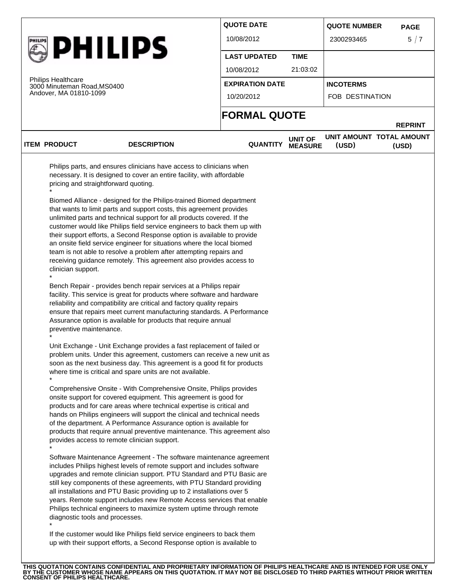|                |                                                          |                                                                                                                                                                                                                                                                                                                                                                                                                                                                                                                                                                                                                                                                                                                                                                                                                                                                                                                                                                                                                                                                                                                                                                                                                                                                                                                                                                                                                                                                                                                                                                                                                                                                                                      | <b>QUOTE DATE</b>      |                                  | <b>QUOTE NUMBER</b>               | <b>PAGE</b>             |  |
|----------------|----------------------------------------------------------|------------------------------------------------------------------------------------------------------------------------------------------------------------------------------------------------------------------------------------------------------------------------------------------------------------------------------------------------------------------------------------------------------------------------------------------------------------------------------------------------------------------------------------------------------------------------------------------------------------------------------------------------------------------------------------------------------------------------------------------------------------------------------------------------------------------------------------------------------------------------------------------------------------------------------------------------------------------------------------------------------------------------------------------------------------------------------------------------------------------------------------------------------------------------------------------------------------------------------------------------------------------------------------------------------------------------------------------------------------------------------------------------------------------------------------------------------------------------------------------------------------------------------------------------------------------------------------------------------------------------------------------------------------------------------------------------------|------------------------|----------------------------------|-----------------------------------|-------------------------|--|
|                |                                                          |                                                                                                                                                                                                                                                                                                                                                                                                                                                                                                                                                                                                                                                                                                                                                                                                                                                                                                                                                                                                                                                                                                                                                                                                                                                                                                                                                                                                                                                                                                                                                                                                                                                                                                      | 10/08/2012             |                                  | 2300293465                        | 5/7                     |  |
| <b>PHILIPS</b> |                                                          |                                                                                                                                                                                                                                                                                                                                                                                                                                                                                                                                                                                                                                                                                                                                                                                                                                                                                                                                                                                                                                                                                                                                                                                                                                                                                                                                                                                                                                                                                                                                                                                                                                                                                                      | <b>LAST UPDATED</b>    | <b>TIME</b>                      |                                   |                         |  |
|                |                                                          |                                                                                                                                                                                                                                                                                                                                                                                                                                                                                                                                                                                                                                                                                                                                                                                                                                                                                                                                                                                                                                                                                                                                                                                                                                                                                                                                                                                                                                                                                                                                                                                                                                                                                                      | 10/08/2012             | 21:03:02                         |                                   |                         |  |
|                | <b>Philips Healthcare</b><br>3000 Minuteman Road, MS0400 |                                                                                                                                                                                                                                                                                                                                                                                                                                                                                                                                                                                                                                                                                                                                                                                                                                                                                                                                                                                                                                                                                                                                                                                                                                                                                                                                                                                                                                                                                                                                                                                                                                                                                                      | <b>EXPIRATION DATE</b> |                                  | <b>INCOTERMS</b>                  |                         |  |
|                | Andover, MA 01810-1099                                   | 10/20/2012                                                                                                                                                                                                                                                                                                                                                                                                                                                                                                                                                                                                                                                                                                                                                                                                                                                                                                                                                                                                                                                                                                                                                                                                                                                                                                                                                                                                                                                                                                                                                                                                                                                                                           |                        | FOB DESTINATION                  |                                   |                         |  |
|                |                                                          |                                                                                                                                                                                                                                                                                                                                                                                                                                                                                                                                                                                                                                                                                                                                                                                                                                                                                                                                                                                                                                                                                                                                                                                                                                                                                                                                                                                                                                                                                                                                                                                                                                                                                                      | <b>FORMAL QUOTE</b>    |                                  |                                   |                         |  |
|                | <b>ITEM PRODUCT</b>                                      | <b>DESCRIPTION</b>                                                                                                                                                                                                                                                                                                                                                                                                                                                                                                                                                                                                                                                                                                                                                                                                                                                                                                                                                                                                                                                                                                                                                                                                                                                                                                                                                                                                                                                                                                                                                                                                                                                                                   | <b>QUANTITY</b>        | <b>UNIT OF</b><br><b>MEASURE</b> | UNIT AMOUNT TOTAL AMOUNT<br>(USD) | <b>REPRINT</b><br>(USD) |  |
|                | clinician support.<br>preventive maintenance.            | customer would like Philips field service engineers to back them up with<br>their support efforts, a Second Response option is available to provide<br>an onsite field service engineer for situations where the local biomed<br>team is not able to resolve a problem after attempting repairs and<br>receiving guidance remotely. This agreement also provides access to<br>Bench Repair - provides bench repair services at a Philips repair<br>facility. This service is great for products where software and hardware<br>reliability and compatibility are critical and factory quality repairs<br>ensure that repairs meet current manufacturing standards. A Performance<br>Assurance option is available for products that require annual<br>Unit Exchange - Unit Exchange provides a fast replacement of failed or<br>problem units. Under this agreement, customers can receive a new unit as<br>soon as the next business day. This agreement is a good fit for products<br>where time is critical and spare units are not available.<br>Comprehensive Onsite - With Comprehensive Onsite, Philips provides<br>onsite support for covered equipment. This agreement is good for<br>products and for care areas where technical expertise is critical and<br>hands on Philips engineers will support the clinical and technical needs<br>of the department. A Performance Assurance option is available for<br>products that require annual preventive maintenance. This agreement also<br>provides access to remote clinician support.<br>Software Maintenance Agreement - The software maintenance agreement<br>includes Philips highest levels of remote support and includes software |                        |                                  |                                   |                         |  |
|                |                                                          | upgrades and remote clinician support. PTU Standard and PTU Basic are<br>still key components of these agreements, with PTU Standard providing<br>all installations and PTU Basic providing up to 2 installations over 5                                                                                                                                                                                                                                                                                                                                                                                                                                                                                                                                                                                                                                                                                                                                                                                                                                                                                                                                                                                                                                                                                                                                                                                                                                                                                                                                                                                                                                                                             |                        |                                  |                                   |                         |  |

THIS QUOTATION CONTAINS CONFIDENTIAL AND PROPRIETARY INFORMATION OF PHILIPS HEALTHCARE AND IS INTENDED FOR USE ONLY<br>BY THE CUSTOMER WHOSE NAME APPEARS ON THIS QUOTATION. IT MAY NOT BE DISCLOSED TO THIRD PARTIES WITHOUT PRI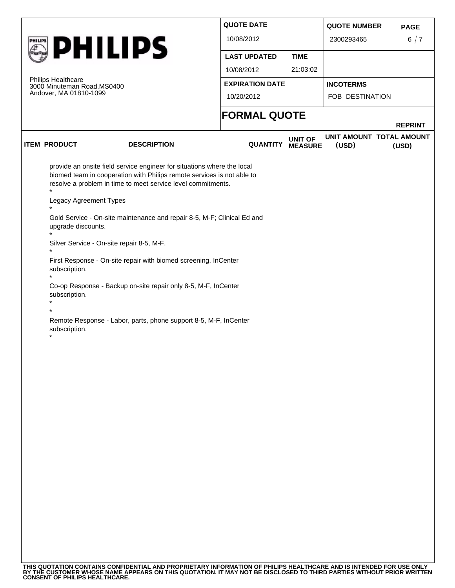|         |                                                                             |                                                                                                                                                                                                                   | <b>QUOTE DATE</b>      |                                  | <b>QUOTE NUMBER</b>               | <b>PAGE</b>    |
|---------|-----------------------------------------------------------------------------|-------------------------------------------------------------------------------------------------------------------------------------------------------------------------------------------------------------------|------------------------|----------------------------------|-----------------------------------|----------------|
| PHILIPS |                                                                             |                                                                                                                                                                                                                   | 10/08/2012             |                                  | 2300293465                        | 6/7            |
|         | <b>PHILIPS</b>                                                              |                                                                                                                                                                                                                   | <b>LAST UPDATED</b>    | <b>TIME</b>                      |                                   |                |
|         |                                                                             | 10/08/2012                                                                                                                                                                                                        | 21:03:02               |                                  |                                   |                |
|         | Philips Healthcare<br>3000 Minuteman Road, MS0400<br>Andover, MA 01810-1099 |                                                                                                                                                                                                                   | <b>EXPIRATION DATE</b> |                                  | <b>INCOTERMS</b>                  |                |
|         |                                                                             |                                                                                                                                                                                                                   | 10/20/2012             |                                  | FOB DESTINATION                   |                |
|         |                                                                             |                                                                                                                                                                                                                   | <b>FORMAL QUOTE</b>    |                                  |                                   | <b>REPRINT</b> |
|         | <b>ITEM PRODUCT</b>                                                         | <b>DESCRIPTION</b>                                                                                                                                                                                                | <b>QUANTITY</b>        | <b>UNIT OF</b><br><b>MEASURE</b> | UNIT AMOUNT TOTAL AMOUNT<br>(USD) | (USD)          |
|         |                                                                             | provide an onsite field service engineer for situations where the local<br>biomed team in cooperation with Philips remote services is not able to<br>resolve a problem in time to meet service level commitments. |                        |                                  |                                   |                |
|         | $\ddot{\phantom{0}}$<br>Legacy Agreement Types<br>$\star$                   |                                                                                                                                                                                                                   |                        |                                  |                                   |                |
|         | upgrade discounts.                                                          | Gold Service - On-site maintenance and repair 8-5, M-F; Clinical Ed and                                                                                                                                           |                        |                                  |                                   |                |
|         | Silver Service - On-site repair 8-5, M-F.                                   |                                                                                                                                                                                                                   |                        |                                  |                                   |                |
|         | subscription.                                                               | First Response - On-site repair with biomed screening, InCenter                                                                                                                                                   |                        |                                  |                                   |                |
|         | subscription.                                                               | Co-op Response - Backup on-site repair only 8-5, M-F, InCenter                                                                                                                                                    |                        |                                  |                                   |                |
|         |                                                                             |                                                                                                                                                                                                                   |                        |                                  |                                   |                |
|         | subscription.                                                               | Remote Response - Labor, parts, phone support 8-5, M-F, InCenter                                                                                                                                                  |                        |                                  |                                   |                |
|         |                                                                             |                                                                                                                                                                                                                   |                        |                                  |                                   |                |
|         |                                                                             |                                                                                                                                                                                                                   |                        |                                  |                                   |                |
|         |                                                                             |                                                                                                                                                                                                                   |                        |                                  |                                   |                |
|         |                                                                             |                                                                                                                                                                                                                   |                        |                                  |                                   |                |
|         |                                                                             |                                                                                                                                                                                                                   |                        |                                  |                                   |                |
|         |                                                                             |                                                                                                                                                                                                                   |                        |                                  |                                   |                |
|         |                                                                             |                                                                                                                                                                                                                   |                        |                                  |                                   |                |
|         |                                                                             |                                                                                                                                                                                                                   |                        |                                  |                                   |                |
|         |                                                                             |                                                                                                                                                                                                                   |                        |                                  |                                   |                |
|         |                                                                             |                                                                                                                                                                                                                   |                        |                                  |                                   |                |
|         |                                                                             |                                                                                                                                                                                                                   |                        |                                  |                                   |                |